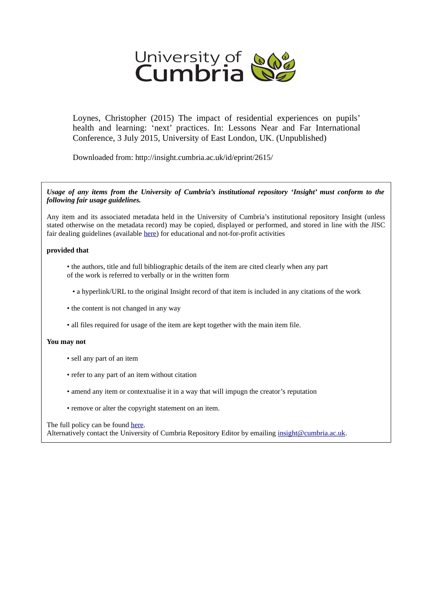

Loynes, Christopher (2015) The impact of residential experiences on pupils' health and learning: 'next' practices. In: Lessons Near and Far International Conference, 3 July 2015, University of East London, UK. (Unpublished)

Downloaded from: http://insight.cumbria.ac.uk/id/eprint/2615/

*Usage of any items from the University of Cumbria's institutional repository 'Insight' must conform to the following fair usage guidelines.*

Any item and its associated metadata held in the University of Cumbria's institutional repository Insight (unless stated otherwise on the metadata record) may be copied, displayed or performed, and stored in line with the JISC fair dealing guidelines (available [here\)](http://www.ukoln.ac.uk/services/elib/papers/pa/fair/) for educational and not-for-profit activities

### **provided that**

- the authors, title and full bibliographic details of the item are cited clearly when any part of the work is referred to verbally or in the written form
	- a hyperlink/URL to the original Insight record of that item is included in any citations of the work
- the content is not changed in any way
- all files required for usage of the item are kept together with the main item file.

### **You may not**

- sell any part of an item
- refer to any part of an item without citation
- amend any item or contextualise it in a way that will impugn the creator's reputation
- remove or alter the copyright statement on an item.

#### The full policy can be found [here.](http://insight.cumbria.ac.uk/legal.html#section5)

Alternatively contact the University of Cumbria Repository Editor by emailing [insight@cumbria.ac.uk.](mailto:insight@cumbria.ac.uk)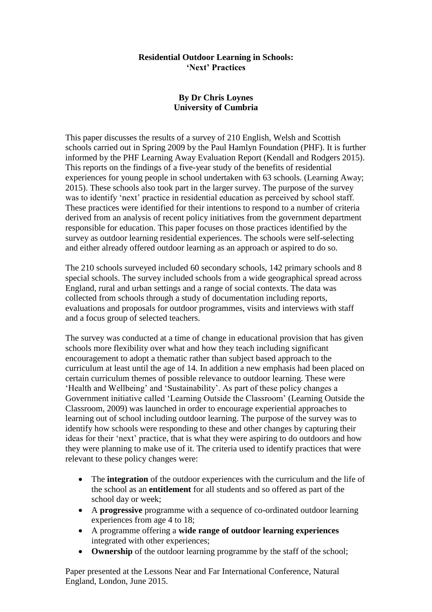# **Residential Outdoor Learning in Schools: 'Next' Practices**

# **By Dr Chris Loynes University of Cumbria**

This paper discusses the results of a survey of 210 English, Welsh and Scottish schools carried out in Spring 2009 by the Paul Hamlyn Foundation (PHF). It is further informed by the PHF Learning Away Evaluation Report (Kendall and Rodgers 2015). This reports on the findings of a five-year study of the benefits of residential experiences for young people in school undertaken with 63 schools. (Learning Away; 2015). These schools also took part in the larger survey. The purpose of the survey was to identify 'next' practice in residential education as perceived by school staff. These practices were identified for their intentions to respond to a number of criteria derived from an analysis of recent policy initiatives from the government department responsible for education. This paper focuses on those practices identified by the survey as outdoor learning residential experiences. The schools were self-selecting and either already offered outdoor learning as an approach or aspired to do so.

The 210 schools surveyed included 60 secondary schools, 142 primary schools and 8 special schools. The survey included schools from a wide geographical spread across England, rural and urban settings and a range of social contexts. The data was collected from schools through a study of documentation including reports, evaluations and proposals for outdoor programmes, visits and interviews with staff and a focus group of selected teachers.

The survey was conducted at a time of change in educational provision that has given schools more flexibility over what and how they teach including significant encouragement to adopt a thematic rather than subject based approach to the curriculum at least until the age of 14. In addition a new emphasis had been placed on certain curriculum themes of possible relevance to outdoor learning. These were 'Health and Wellbeing' and 'Sustainability'. As part of these policy changes a Government initiative called 'Learning Outside the Classroom' (Learning Outside the Classroom, 2009) was launched in order to encourage experiential approaches to learning out of school including outdoor learning. The purpose of the survey was to identify how schools were responding to these and other changes by capturing their ideas for their 'next' practice, that is what they were aspiring to do outdoors and how they were planning to make use of it. The criteria used to identify practices that were relevant to these policy changes were:

- The **integration** of the outdoor experiences with the curriculum and the life of the school as an **entitlement** for all students and so offered as part of the school day or week;
- A **progressive** programme with a sequence of co-ordinated outdoor learning experiences from age 4 to 18;
- A programme offering a **wide range of outdoor learning experiences**  integrated with other experiences;
- **Ownership** of the outdoor learning programme by the staff of the school;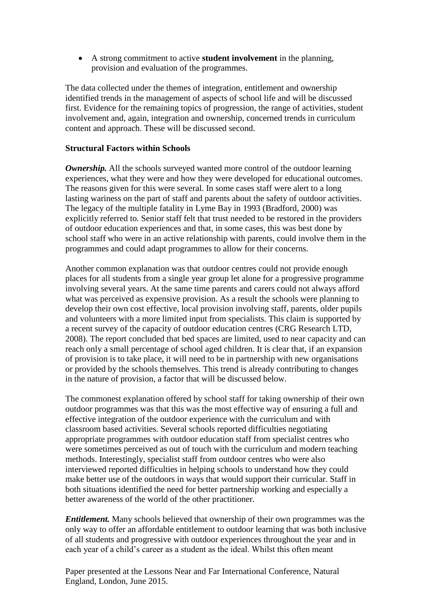A strong commitment to active **student involvement** in the planning, provision and evaluation of the programmes.

The data collected under the themes of integration, entitlement and ownership identified trends in the management of aspects of school life and will be discussed first. Evidence for the remaining topics of progression, the range of activities, student involvement and, again, integration and ownership, concerned trends in curriculum content and approach. These will be discussed second.

# **Structural Factors within Schools**

**Ownership.** All the schools surveyed wanted more control of the outdoor learning experiences, what they were and how they were developed for educational outcomes. The reasons given for this were several. In some cases staff were alert to a long lasting wariness on the part of staff and parents about the safety of outdoor activities. The legacy of the multiple fatality in Lyme Bay in 1993 (Bradford, 2000) was explicitly referred to. Senior staff felt that trust needed to be restored in the providers of outdoor education experiences and that, in some cases, this was best done by school staff who were in an active relationship with parents, could involve them in the programmes and could adapt programmes to allow for their concerns.

Another common explanation was that outdoor centres could not provide enough places for all students from a single year group let alone for a progressive programme involving several years. At the same time parents and carers could not always afford what was perceived as expensive provision. As a result the schools were planning to develop their own cost effective, local provision involving staff, parents, older pupils and volunteers with a more limited input from specialists. This claim is supported by a recent survey of the capacity of outdoor education centres (CRG Research LTD, 2008). The report concluded that bed spaces are limited, used to near capacity and can reach only a small percentage of school aged children. It is clear that, if an expansion of provision is to take place, it will need to be in partnership with new organisations or provided by the schools themselves. This trend is already contributing to changes in the nature of provision, a factor that will be discussed below.

The commonest explanation offered by school staff for taking ownership of their own outdoor programmes was that this was the most effective way of ensuring a full and effective integration of the outdoor experience with the curriculum and with classroom based activities. Several schools reported difficulties negotiating appropriate programmes with outdoor education staff from specialist centres who were sometimes perceived as out of touch with the curriculum and modern teaching methods. Interestingly, specialist staff from outdoor centres who were also interviewed reported difficulties in helping schools to understand how they could make better use of the outdoors in ways that would support their curricular. Staff in both situations identified the need for better partnership working and especially a better awareness of the world of the other practitioner.

*Entitlement.* Many schools believed that ownership of their own programmes was the only way to offer an affordable entitlement to outdoor learning that was both inclusive of all students and progressive with outdoor experiences throughout the year and in each year of a child's career as a student as the ideal. Whilst this often meant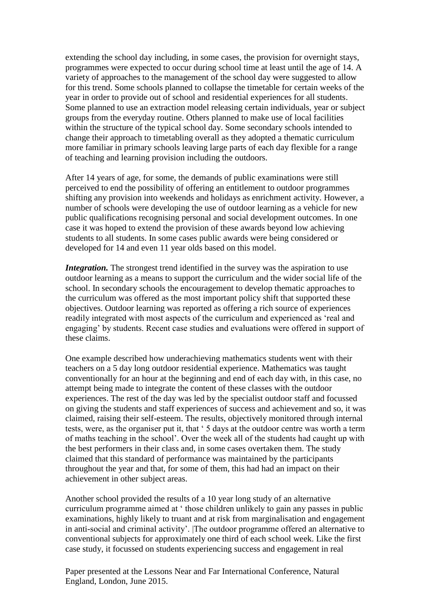extending the school day including, in some cases, the provision for overnight stays, programmes were expected to occur during school time at least until the age of 14. A variety of approaches to the management of the school day were suggested to allow for this trend. Some schools planned to collapse the timetable for certain weeks of the year in order to provide out of school and residential experiences for all students. Some planned to use an extraction model releasing certain individuals, year or subject groups from the everyday routine. Others planned to make use of local facilities within the structure of the typical school day. Some secondary schools intended to change their approach to timetabling overall as they adopted a thematic curriculum more familiar in primary schools leaving large parts of each day flexible for a range of teaching and learning provision including the outdoors.

After 14 years of age, for some, the demands of public examinations were still perceived to end the possibility of offering an entitlement to outdoor programmes shifting any provision into weekends and holidays as enrichment activity. However, a number of schools were developing the use of outdoor learning as a vehicle for new public qualifications recognising personal and social development outcomes. In one case it was hoped to extend the provision of these awards beyond low achieving students to all students. In some cases public awards were being considered or developed for 14 and even 11 year olds based on this model.

*Integration*. The strongest trend identified in the survey was the aspiration to use outdoor learning as a means to support the curriculum and the wider social life of the school. In secondary schools the encouragement to develop thematic approaches to the curriculum was offered as the most important policy shift that supported these objectives. Outdoor learning was reported as offering a rich source of experiences readily integrated with most aspects of the curriculum and experienced as 'real and engaging' by students. Recent case studies and evaluations were offered in support of these claims.

One example described how underachieving mathematics students went with their teachers on a 5 day long outdoor residential experience. Mathematics was taught conventionally for an hour at the beginning and end of each day with, in this case, no attempt being made to integrate the content of these classes with the outdoor experiences. The rest of the day was led by the specialist outdoor staff and focussed on giving the students and staff experiences of success and achievement and so, it was claimed, raising their self-esteem. The results, objectively monitored through internal tests, were, as the organiser put it, that ' 5 days at the outdoor centre was worth a term of maths teaching in the school'. Over the week all of the students had caught up with the best performers in their class and, in some cases overtaken them. The study claimed that this standard of performance was maintained by the participants throughout the year and that, for some of them, this had had an impact on their achievement in other subject areas.

Another school provided the results of a 10 year long study of an alternative curriculum programme aimed at ' those children unlikely to gain any passes in public examinations, highly likely to truant and at risk from marginalisation and engagement in anti-social and criminal activity'. |The outdoor programme offered an alternative to conventional subjects for approximately one third of each school week. Like the first case study, it focussed on students experiencing success and engagement in real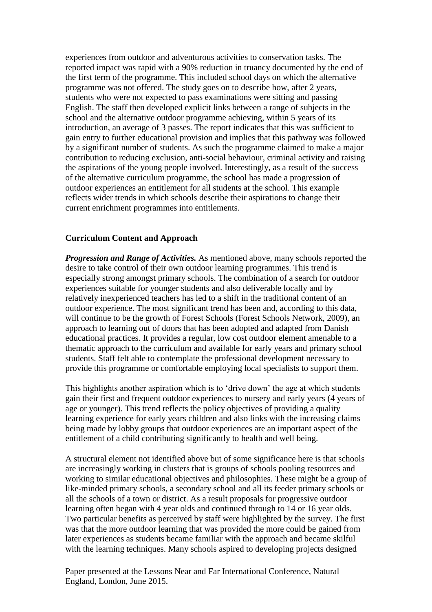experiences from outdoor and adventurous activities to conservation tasks. The reported impact was rapid with a 90% reduction in truancy documented by the end of the first term of the programme. This included school days on which the alternative programme was not offered. The study goes on to describe how, after 2 years, students who were not expected to pass examinations were sitting and passing English. The staff then developed explicit links between a range of subjects in the school and the alternative outdoor programme achieving, within 5 years of its introduction, an average of 3 passes. The report indicates that this was sufficient to gain entry to further educational provision and implies that this pathway was followed by a significant number of students. As such the programme claimed to make a major contribution to reducing exclusion, anti-social behaviour, criminal activity and raising the aspirations of the young people involved. Interestingly, as a result of the success of the alternative curriculum programme, the school has made a progression of outdoor experiences an entitlement for all students at the school. This example reflects wider trends in which schools describe their aspirations to change their current enrichment programmes into entitlements.

## **Curriculum Content and Approach**

*Progression and Range of Activities.* As mentioned above, many schools reported the desire to take control of their own outdoor learning programmes. This trend is especially strong amongst primary schools. The combination of a search for outdoor experiences suitable for younger students and also deliverable locally and by relatively inexperienced teachers has led to a shift in the traditional content of an outdoor experience. The most significant trend has been and, according to this data, will continue to be the growth of Forest Schools (Forest Schools Network, 2009), an approach to learning out of doors that has been adopted and adapted from Danish educational practices. It provides a regular, low cost outdoor element amenable to a thematic approach to the curriculum and available for early years and primary school students. Staff felt able to contemplate the professional development necessary to provide this programme or comfortable employing local specialists to support them.

This highlights another aspiration which is to 'drive down' the age at which students gain their first and frequent outdoor experiences to nursery and early years (4 years of age or younger). This trend reflects the policy objectives of providing a quality learning experience for early years children and also links with the increasing claims being made by lobby groups that outdoor experiences are an important aspect of the entitlement of a child contributing significantly to health and well being.

A structural element not identified above but of some significance here is that schools are increasingly working in clusters that is groups of schools pooling resources and working to similar educational objectives and philosophies. These might be a group of like-minded primary schools, a secondary school and all its feeder primary schools or all the schools of a town or district. As a result proposals for progressive outdoor learning often began with 4 year olds and continued through to 14 or 16 year olds. Two particular benefits as perceived by staff were highlighted by the survey. The first was that the more outdoor learning that was provided the more could be gained from later experiences as students became familiar with the approach and became skilful with the learning techniques. Many schools aspired to developing projects designed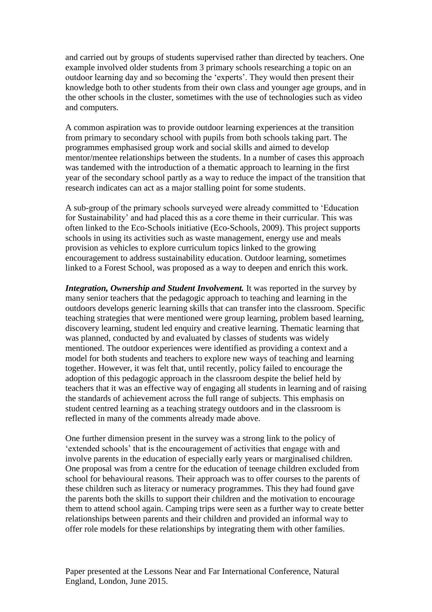and carried out by groups of students supervised rather than directed by teachers. One example involved older students from 3 primary schools researching a topic on an outdoor learning day and so becoming the 'experts'. They would then present their knowledge both to other students from their own class and younger age groups, and in the other schools in the cluster, sometimes with the use of technologies such as video and computers.

A common aspiration was to provide outdoor learning experiences at the transition from primary to secondary school with pupils from both schools taking part. The programmes emphasised group work and social skills and aimed to develop mentor/mentee relationships between the students. In a number of cases this approach was tandemed with the introduction of a thematic approach to learning in the first year of the secondary school partly as a way to reduce the impact of the transition that research indicates can act as a major stalling point for some students.

A sub-group of the primary schools surveyed were already committed to 'Education for Sustainability' and had placed this as a core theme in their curricular. This was often linked to the Eco-Schools initiative (Eco-Schools, 2009). This project supports schools in using its activities such as waste management, energy use and meals provision as vehicles to explore curriculum topics linked to the growing encouragement to address sustainability education. Outdoor learning, sometimes linked to a Forest School, was proposed as a way to deepen and enrich this work.

*Integration, Ownership and Student Involvement.* It was reported in the survey by many senior teachers that the pedagogic approach to teaching and learning in the outdoors develops generic learning skills that can transfer into the classroom. Specific teaching strategies that were mentioned were group learning, problem based learning, discovery learning, student led enquiry and creative learning. Thematic learning that was planned, conducted by and evaluated by classes of students was widely mentioned. The outdoor experiences were identified as providing a context and a model for both students and teachers to explore new ways of teaching and learning together. However, it was felt that, until recently, policy failed to encourage the adoption of this pedagogic approach in the classroom despite the belief held by teachers that it was an effective way of engaging all students in learning and of raising the standards of achievement across the full range of subjects. This emphasis on student centred learning as a teaching strategy outdoors and in the classroom is reflected in many of the comments already made above.

One further dimension present in the survey was a strong link to the policy of 'extended schools' that is the encouragement of activities that engage with and involve parents in the education of especially early years or marginalised children. One proposal was from a centre for the education of teenage children excluded from school for behavioural reasons. Their approach was to offer courses to the parents of these children such as literacy or numeracy programmes. This they had found gave the parents both the skills to support their children and the motivation to encourage them to attend school again. Camping trips were seen as a further way to create better relationships between parents and their children and provided an informal way to offer role models for these relationships by integrating them with other families.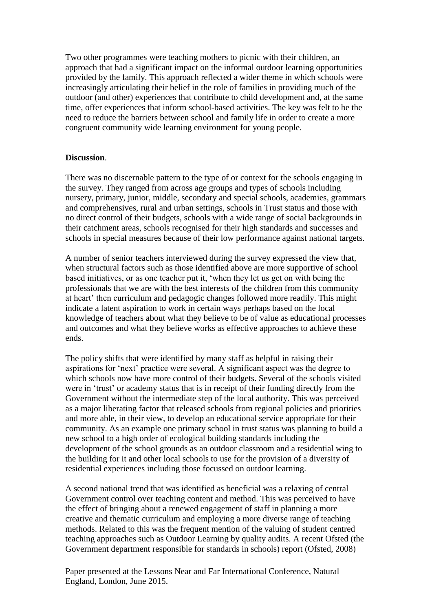Two other programmes were teaching mothers to picnic with their children, an approach that had a significant impact on the informal outdoor learning opportunities provided by the family. This approach reflected a wider theme in which schools were increasingly articulating their belief in the role of families in providing much of the outdoor (and other) experiences that contribute to child development and, at the same time, offer experiences that inform school-based activities. The key was felt to be the need to reduce the barriers between school and family life in order to create a more congruent community wide learning environment for young people.

# **Discussion**.

There was no discernable pattern to the type of or context for the schools engaging in the survey. They ranged from across age groups and types of schools including nursery, primary, junior, middle, secondary and special schools, academies, grammars and comprehensives, rural and urban settings, schools in Trust status and those with no direct control of their budgets, schools with a wide range of social backgrounds in their catchment areas, schools recognised for their high standards and successes and schools in special measures because of their low performance against national targets.

A number of senior teachers interviewed during the survey expressed the view that, when structural factors such as those identified above are more supportive of school based initiatives, or as one teacher put it, 'when they let us get on with being the professionals that we are with the best interests of the children from this community at heart' then curriculum and pedagogic changes followed more readily. This might indicate a latent aspiration to work in certain ways perhaps based on the local knowledge of teachers about what they believe to be of value as educational processes and outcomes and what they believe works as effective approaches to achieve these ends.

The policy shifts that were identified by many staff as helpful in raising their aspirations for 'next' practice were several. A significant aspect was the degree to which schools now have more control of their budgets. Several of the schools visited were in 'trust' or academy status that is in receipt of their funding directly from the Government without the intermediate step of the local authority. This was perceived as a major liberating factor that released schools from regional policies and priorities and more able, in their view, to develop an educational service appropriate for their community. As an example one primary school in trust status was planning to build a new school to a high order of ecological building standards including the development of the school grounds as an outdoor classroom and a residential wing to the building for it and other local schools to use for the provision of a diversity of residential experiences including those focussed on outdoor learning.

A second national trend that was identified as beneficial was a relaxing of central Government control over teaching content and method. This was perceived to have the effect of bringing about a renewed engagement of staff in planning a more creative and thematic curriculum and employing a more diverse range of teaching methods. Related to this was the frequent mention of the valuing of student centred teaching approaches such as Outdoor Learning by quality audits. A recent Ofsted (the Government department responsible for standards in schools) report (Ofsted, 2008)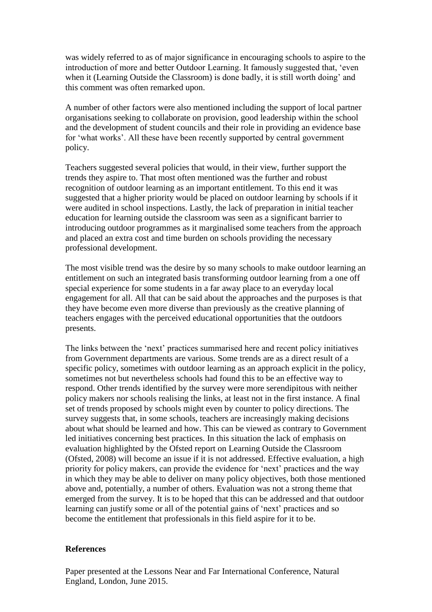was widely referred to as of major significance in encouraging schools to aspire to the introduction of more and better Outdoor Learning. It famously suggested that, 'even when it (Learning Outside the Classroom) is done badly, it is still worth doing' and this comment was often remarked upon.

A number of other factors were also mentioned including the support of local partner organisations seeking to collaborate on provision, good leadership within the school and the development of student councils and their role in providing an evidence base for 'what works'. All these have been recently supported by central government policy.

Teachers suggested several policies that would, in their view, further support the trends they aspire to. That most often mentioned was the further and robust recognition of outdoor learning as an important entitlement. To this end it was suggested that a higher priority would be placed on outdoor learning by schools if it were audited in school inspections. Lastly, the lack of preparation in initial teacher education for learning outside the classroom was seen as a significant barrier to introducing outdoor programmes as it marginalised some teachers from the approach and placed an extra cost and time burden on schools providing the necessary professional development.

The most visible trend was the desire by so many schools to make outdoor learning an entitlement on such an integrated basis transforming outdoor learning from a one off special experience for some students in a far away place to an everyday local engagement for all. All that can be said about the approaches and the purposes is that they have become even more diverse than previously as the creative planning of teachers engages with the perceived educational opportunities that the outdoors presents.

The links between the 'next' practices summarised here and recent policy initiatives from Government departments are various. Some trends are as a direct result of a specific policy, sometimes with outdoor learning as an approach explicit in the policy, sometimes not but nevertheless schools had found this to be an effective way to respond. Other trends identified by the survey were more serendipitous with neither policy makers nor schools realising the links, at least not in the first instance. A final set of trends proposed by schools might even by counter to policy directions. The survey suggests that, in some schools, teachers are increasingly making decisions about what should be learned and how. This can be viewed as contrary to Government led initiatives concerning best practices. In this situation the lack of emphasis on evaluation highlighted by the Ofsted report on Learning Outside the Classroom (Ofsted, 2008) will become an issue if it is not addressed. Effective evaluation, a high priority for policy makers, can provide the evidence for 'next' practices and the way in which they may be able to deliver on many policy objectives, both those mentioned above and, potentially, a number of others. Evaluation was not a strong theme that emerged from the survey. It is to be hoped that this can be addressed and that outdoor learning can justify some or all of the potential gains of 'next' practices and so become the entitlement that professionals in this field aspire for it to be.

### **References**